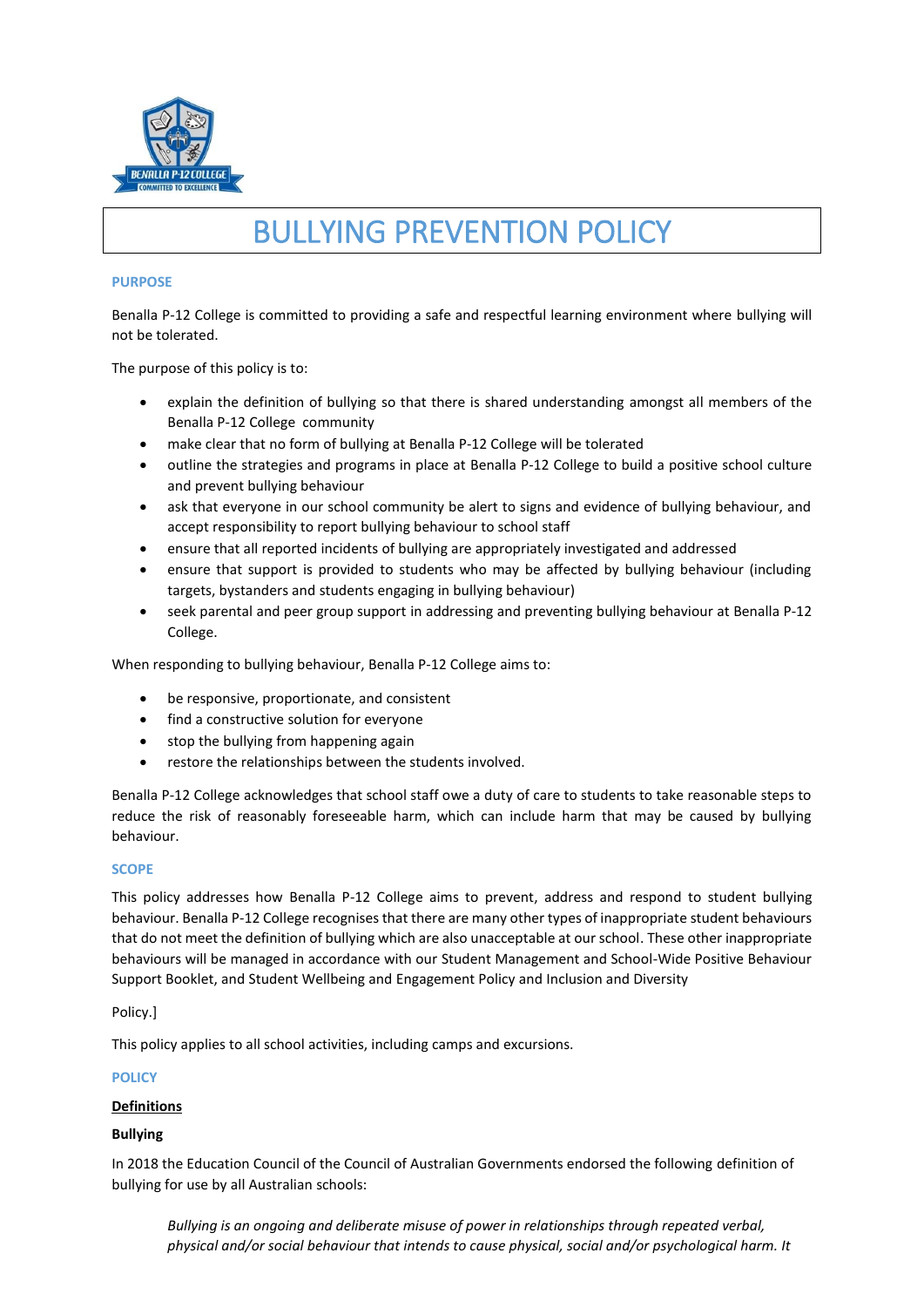

# BULLYING PREVENTION POLICY

## **PURPOSE**

Benalla P-12 College is committed to providing a safe and respectful learning environment where bullying will not be tolerated.

The purpose of this policy is to:

- explain the definition of bullying so that there is shared understanding amongst all members of the Benalla P-12 College community
- make clear that no form of bullying at Benalla P-12 College will be tolerated
- outline the strategies and programs in place at Benalla P-12 College to build a positive school culture and prevent bullying behaviour
- ask that everyone in our school community be alert to signs and evidence of bullying behaviour, and accept responsibility to report bullying behaviour to school staff
- ensure that all reported incidents of bullying are appropriately investigated and addressed
- ensure that support is provided to students who may be affected by bullying behaviour (including targets, bystanders and students engaging in bullying behaviour)
- seek parental and peer group support in addressing and preventing bullying behaviour at Benalla P-12 College.

When responding to bullying behaviour, Benalla P-12 College aims to:

- be responsive, proportionate, and consistent
- find a constructive solution for everyone
- stop the bullying from happening again
- restore the relationships between the students involved.

Benalla P-12 College acknowledges that school staff owe a duty of care to students to take reasonable steps to reduce the risk of reasonably foreseeable harm, which can include harm that may be caused by bullying behaviour.

#### **SCOPE**

This policy addresses how Benalla P-12 College aims to prevent, address and respond to student bullying behaviour. Benalla P-12 College recognises that there are many other types of inappropriate student behaviours that do not meet the definition of bullying which are also unacceptable at our school. These other inappropriate behaviours will be managed in accordance with our Student Management and School-Wide Positive Behaviour Support Booklet, and Student Wellbeing and Engagement Policy and Inclusion and Diversity

Policy.]

This policy applies to all school activities, including camps and excursions.

## **POLICY**

#### **Definitions**

## **Bullying**

In 2018 the Education Council of the Council of Australian Governments endorsed the following definition of bullying for use by all Australian schools:

*Bullying is an ongoing and deliberate misuse of power in relationships through repeated verbal, physical and/or social behaviour that intends to cause physical, social and/or psychological harm. It*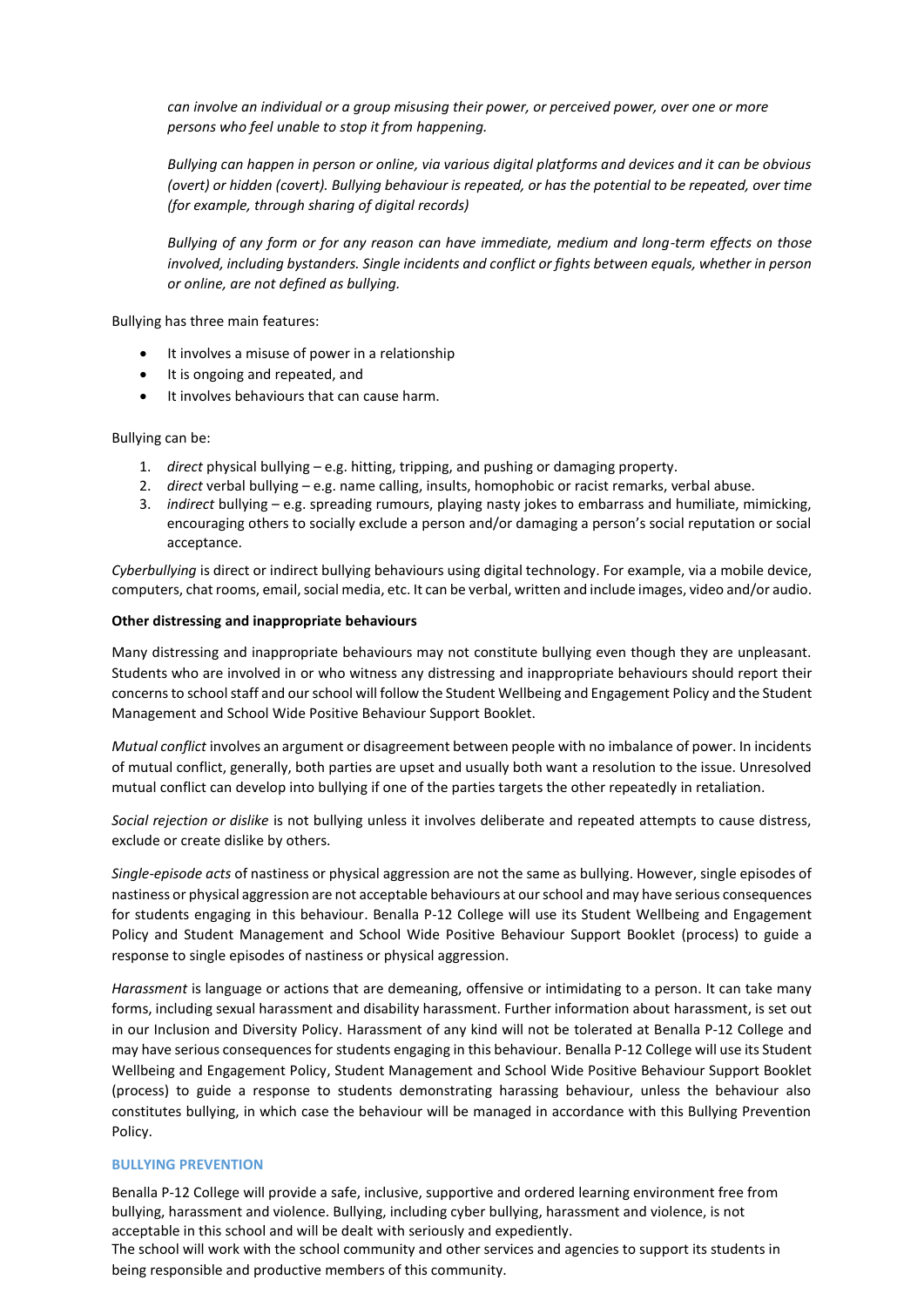*can involve an individual or a group misusing their power, or perceived power, over one or more persons who feel unable to stop it from happening.*

*Bullying can happen in person or online, via various digital platforms and devices and it can be obvious (overt) or hidden (covert). Bullying behaviour is repeated, or has the potential to be repeated, over time (for example, through sharing of digital records)*

*Bullying of any form or for any reason can have immediate, medium and long-term effects on those involved, including bystanders. Single incidents and conflict or fights between equals, whether in person or online, are not defined as bullying.* 

Bullying has three main features:

- It involves a misuse of power in a relationship
- It is ongoing and repeated, and
- It involves behaviours that can cause harm.

Bullying can be:

- 1. *direct* physical bullying e.g. hitting, tripping, and pushing or damaging property.
- 2. *direct* verbal bullying e.g. name calling, insults, homophobic or racist remarks, verbal abuse.
- 3. *indirect* bullying e.g. spreading rumours, playing nasty jokes to embarrass and humiliate, mimicking, encouraging others to socially exclude a person and/or damaging a person's social reputation or social acceptance.

*Cyberbullying* is direct or indirect bullying behaviours using digital technology. For example, via a mobile device, computers, chat rooms, email, social media, etc. It can be verbal, written and include images, video and/or audio.

#### **Other distressing and inappropriate behaviours**

Many distressing and inappropriate behaviours may not constitute bullying even though they are unpleasant. Students who are involved in or who witness any distressing and inappropriate behaviours should report their concerns to school staff and our school will follow the Student Wellbeing and Engagement Policy and the Student Management and School Wide Positive Behaviour Support Booklet.

*Mutual conflict* involves an argument or disagreement between people with no imbalance of power. In incidents of mutual conflict, generally, both parties are upset and usually both want a resolution to the issue. Unresolved mutual conflict can develop into bullying if one of the parties targets the other repeatedly in retaliation.

*Social rejection or dislike* is not bullying unless it involves deliberate and repeated attempts to cause distress, exclude or create dislike by others.

*Single-episode acts* of nastiness or physical aggression are not the same as bullying. However, single episodes of nastiness or physical aggression are not acceptable behaviours at our school and may have serious consequences for students engaging in this behaviour. Benalla P-12 College will use its Student Wellbeing and Engagement Policy and Student Management and School Wide Positive Behaviour Support Booklet (process) to guide a response to single episodes of nastiness or physical aggression.

*Harassment* is language or actions that are demeaning, offensive or intimidating to a person. It can take many forms, including sexual harassment and disability harassment. Further information about harassment, is set out in our Inclusion and Diversity Policy. Harassment of any kind will not be tolerated at Benalla P-12 College and may have serious consequences for students engaging in this behaviour. Benalla P-12 College will use its Student Wellbeing and Engagement Policy, Student Management and School Wide Positive Behaviour Support Booklet (process) to guide a response to students demonstrating harassing behaviour, unless the behaviour also constitutes bullying, in which case the behaviour will be managed in accordance with this Bullying Prevention Policy.

## **BULLYING PREVENTION**

Benalla P-12 College will provide a safe, inclusive, supportive and ordered learning environment free from bullying, harassment and violence. Bullying, including cyber bullying, harassment and violence, is not acceptable in this school and will be dealt with seriously and expediently.

The school will work with the school community and other services and agencies to support its students in being responsible and productive members of this community.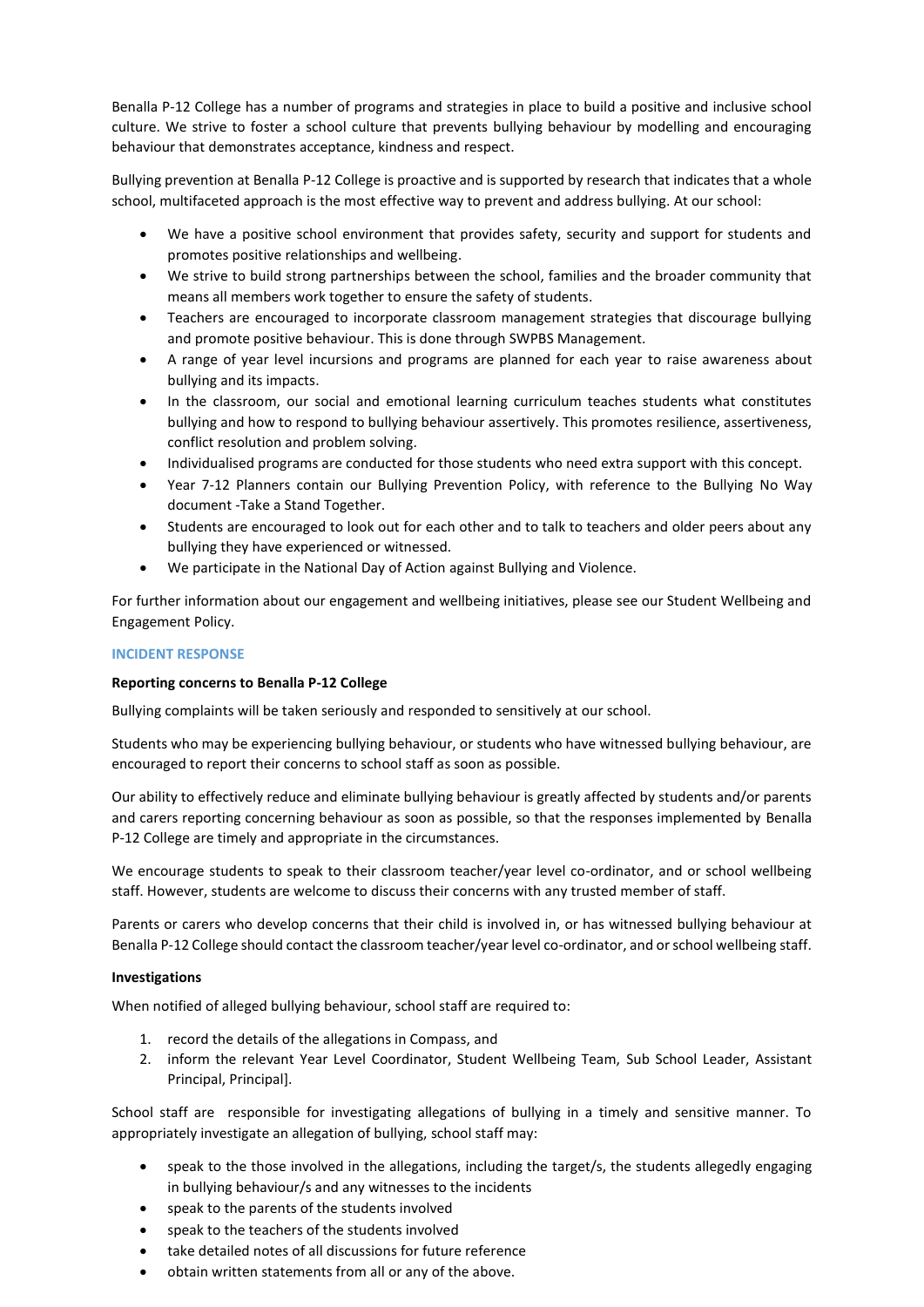Benalla P-12 College has a number of programs and strategies in place to build a positive and inclusive school culture. We strive to foster a school culture that prevents bullying behaviour by modelling and encouraging behaviour that demonstrates acceptance, kindness and respect.

Bullying prevention at Benalla P-12 College is proactive and is supported by research that indicates that a whole school, multifaceted approach is the most effective way to prevent and address bullying. At our school:

- We have a positive school environment that provides safety, security and support for students and promotes positive relationships and wellbeing.
- We strive to build strong partnerships between the school, families and the broader community that means all members work together to ensure the safety of students.
- Teachers are encouraged to incorporate classroom management strategies that discourage bullying and promote positive behaviour. This is done through SWPBS Management.
- A range of year level incursions and programs are planned for each year to raise awareness about bullying and its impacts.
- In the classroom, our social and emotional learning curriculum teaches students what constitutes bullying and how to respond to bullying behaviour assertively. This promotes resilience, assertiveness, conflict resolution and problem solving.
- Individualised programs are conducted for those students who need extra support with this concept.
- Year 7-12 Planners contain our Bullying Prevention Policy, with reference to the Bullying No Way document -Take a Stand Together.
- Students are encouraged to look out for each other and to talk to teachers and older peers about any bullying they have experienced or witnessed.
- We participate in the National Day of Action against Bullying and Violence.

For further information about our engagement and wellbeing initiatives, please see our Student Wellbeing and Engagement Policy.

## **INCIDENT RESPONSE**

## **Reporting concerns to Benalla P-12 College**

Bullying complaints will be taken seriously and responded to sensitively at our school.

Students who may be experiencing bullying behaviour, or students who have witnessed bullying behaviour, are encouraged to report their concerns to school staff as soon as possible.

Our ability to effectively reduce and eliminate bullying behaviour is greatly affected by students and/or parents and carers reporting concerning behaviour as soon as possible, so that the responses implemented by Benalla P-12 College are timely and appropriate in the circumstances.

We encourage students to speak to their classroom teacher/year level co-ordinator, and or school wellbeing staff. However, students are welcome to discuss their concerns with any trusted member of staff.

Parents or carers who develop concerns that their child is involved in, or has witnessed bullying behaviour at Benalla P-12 College should contact the classroom teacher/year level co-ordinator, and or school wellbeing staff.

## **Investigations**

When notified of alleged bullying behaviour, school staff are required to:

- 1. record the details of the allegations in Compass, and
- 2. inform the relevant Year Level Coordinator, Student Wellbeing Team, Sub School Leader, Assistant Principal, Principal].

School staff are responsible for investigating allegations of bullying in a timely and sensitive manner. To appropriately investigate an allegation of bullying, school staff may:

- speak to the those involved in the allegations, including the target/s, the students allegedly engaging in bullying behaviour/s and any witnesses to the incidents
- speak to the parents of the students involved
- speak to the teachers of the students involved
- take detailed notes of all discussions for future reference
- obtain written statements from all or any of the above.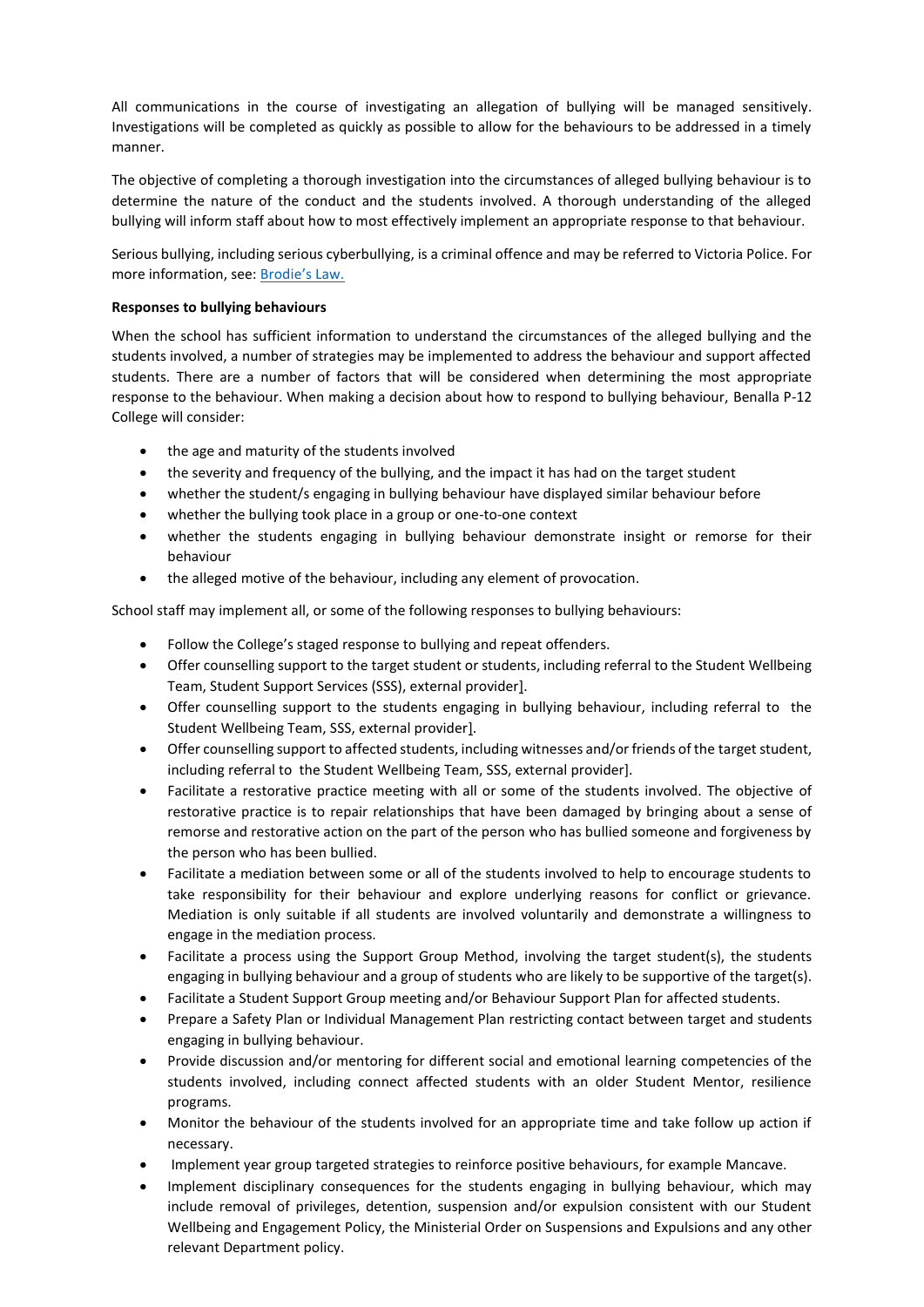All communications in the course of investigating an allegation of bullying will be managed sensitively. Investigations will be completed as quickly as possible to allow for the behaviours to be addressed in a timely manner.

The objective of completing a thorough investigation into the circumstances of alleged bullying behaviour is to determine the nature of the conduct and the students involved. A thorough understanding of the alleged bullying will inform staff about how to most effectively implement an appropriate response to that behaviour.

Serious bullying, including serious cyberbullying, is a criminal offence and may be referred to Victoria Police. For more information, see: [Brodie's Law.](http://www.education.vic.gov.au/about/programs/bullystoppers/Pages/advicesheetbrodieslaw.aspx)

# **Responses to bullying behaviours**

When the school has sufficient information to understand the circumstances of the alleged bullying and the students involved, a number of strategies may be implemented to address the behaviour and support affected students. There are a number of factors that will be considered when determining the most appropriate response to the behaviour. When making a decision about how to respond to bullying behaviour, Benalla P-12 College will consider:

- the age and maturity of the students involved
- the severity and frequency of the bullying, and the impact it has had on the target student
- whether the student/s engaging in bullying behaviour have displayed similar behaviour before
- whether the bullying took place in a group or one-to-one context
- whether the students engaging in bullying behaviour demonstrate insight or remorse for their behaviour
- the alleged motive of the behaviour, including any element of provocation.

School staff may implement all, or some of the following responses to bullying behaviours:

- Follow the College's staged response to bullying and repeat offenders.
- Offer counselling support to the target student or students, including referral to the Student Wellbeing Team, Student Support Services (SSS), external provider].
- Offer counselling support to the students engaging in bullying behaviour, including referral to the Student Wellbeing Team, SSS, external provider].
- Offer counselling support to affected students, including witnesses and/or friends of the target student, including referral to the Student Wellbeing Team, SSS, external provider].
- Facilitate a restorative practice meeting with all or some of the students involved. The objective of restorative practice is to repair relationships that have been damaged by bringing about a sense of remorse and restorative action on the part of the person who has bullied someone and forgiveness by the person who has been bullied.
- Facilitate a mediation between some or all of the students involved to help to encourage students to take responsibility for their behaviour and explore underlying reasons for conflict or grievance. Mediation is only suitable if all students are involved voluntarily and demonstrate a willingness to engage in the mediation process.
- Facilitate a process using the Support Group Method, involving the target student(s), the students engaging in bullying behaviour and a group of students who are likely to be supportive of the target(s).
- Facilitate a Student Support Group meeting and/or Behaviour Support Plan for affected students.
- Prepare a Safety Plan or Individual Management Plan restricting contact between target and students engaging in bullying behaviour.
- Provide discussion and/or mentoring for different social and emotional learning competencies of the students involved, including connect affected students with an older Student Mentor, resilience programs.
- Monitor the behaviour of the students involved for an appropriate time and take follow up action if necessary.
- Implement year group targeted strategies to reinforce positive behaviours, for example Mancave.
- Implement disciplinary consequences for the students engaging in bullying behaviour, which may include removal of privileges, detention, suspension and/or expulsion consistent with our Student Wellbeing and Engagement Policy, the Ministerial Order on Suspensions and Expulsions and any other relevant Department policy.